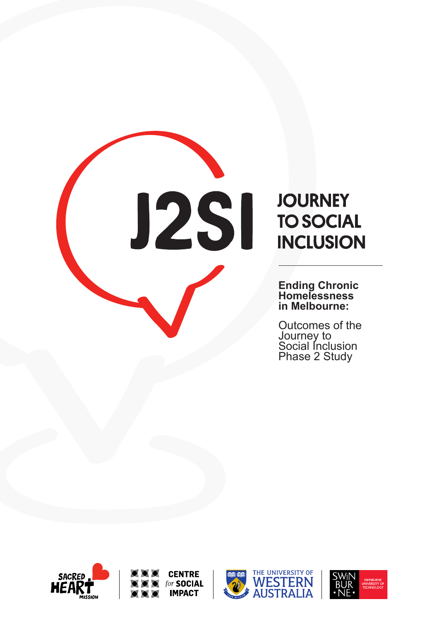



**Ending Chronic Homelessness in Melbourne:**

Outcomes of the Journey to Social Inclusion Phase 2 Study







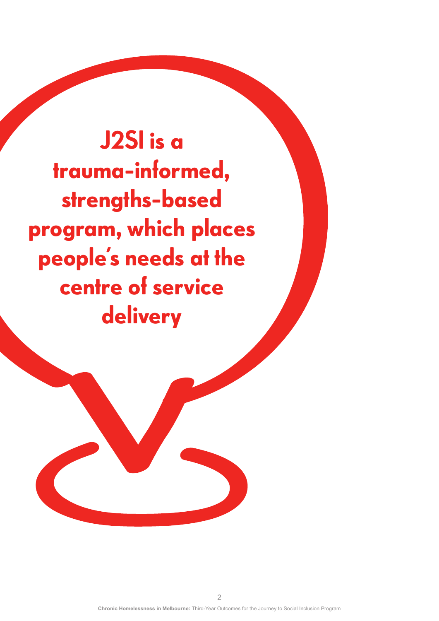**J2SI is a trauma-informed, strengths-based program, which places people's needs at the centre of service delivery**

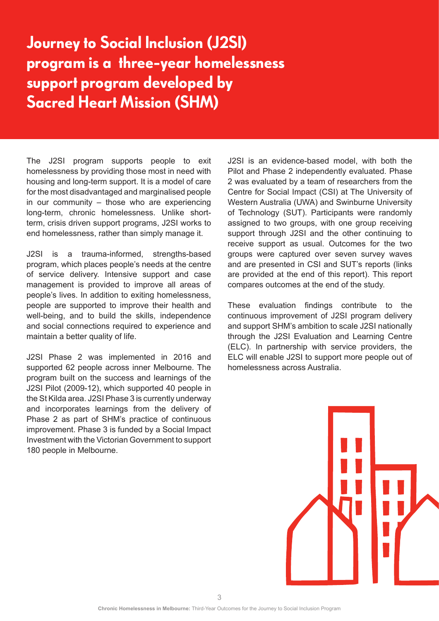# **Journey to Social Inclusion (J2SI) program is a three-year homelessness support program developed by Sacred Heart Mission (SHM)**

The J2SI program supports people to exit homelessness by providing those most in need with housing and long-term support. It is a model of care for the most disadvantaged and marginalised people in our community – those who are experiencing long-term, chronic homelessness. Unlike shortterm, crisis driven support programs, J2SI works to end homelessness, rather than simply manage it.

J2SI is a trauma-informed, strengths-based program, which places people's needs at the centre of service delivery. Intensive support and case management is provided to improve all areas of people's lives. In addition to exiting homelessness, people are supported to improve their health and well-being, and to build the skills, independence and social connections required to experience and maintain a better quality of life.

J2SI Phase 2 was implemented in 2016 and supported 62 people across inner Melbourne. The program built on the success and learnings of the J2SI Pilot (2009-12), which supported 40 people in the St Kilda area. J2SI Phase 3 is currently underway and incorporates learnings from the delivery of Phase 2 as part of SHM's practice of continuous improvement. Phase 3 is funded by a Social Impact Investment with the Victorian Government to support 180 people in Melbourne.

J2SI is an evidence-based model, with both the Pilot and Phase 2 independently evaluated. Phase 2 was evaluated by a team of researchers from the Centre for Social Impact (CSI) at The University of Western Australia (UWA) and Swinburne University of Technology (SUT). Participants were randomly assigned to two groups, with one group receiving support through J2SI and the other continuing to receive support as usual. Outcomes for the two groups were captured over seven survey waves and are presented in CSI and SUT's reports (links are provided at the end of this report). This report compares outcomes at the end of the study.

These evaluation findings contribute to the continuous improvement of J2SI program delivery and support SHM's ambition to scale J2SI nationally through the J2SI Evaluation and Learning Centre (ELC). In partnership with service providers, the ELC will enable J2SI to support more people out of homelessness across Australia.

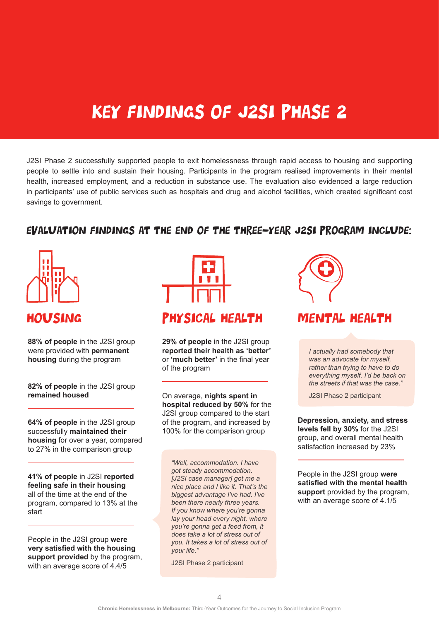# Key Findings of J2SI Phase 2

J2SI Phase 2 successfully supported people to exit homelessness through rapid access to housing and supporting people to settle into and sustain their housing. Participants in the program realised improvements in their mental health, increased employment, and a reduction in substance use. The evaluation also evidenced a large reduction in participants' use of public services such as hospitals and drug and alcohol facilities, which created significant cost savings to government.

### Evaluation findings at the end of the three-year J2SI program include:



**88% of people** in the J2SI group were provided with **permanent housing** during the program

**82% of people** in the J2SI group **remained housed** 

**64% of people** in the J2SI group successfully **maintained their housing** for over a year, compared to 27% in the comparison group

**41% of people** in J2SI **reported feeling safe in their housing** all of the time at the end of the program, compared to 13% at the start

People in the J2SI group **were very satisfied with the housing support provided** by the program, with an average score of 4.4/5



## HOUSING PHYSICAL HEALTH MENTAL HEALTH

**29% of people** in the J2SI group **reported their health as 'better'** or **'much better'** in the final year of the program

On average, **nights spent in hospital reduced by 50%** for the J2SI group compared to the start of the program, and increased by 100% for the comparison group

*"Well, accommodation. I have got steady accommodation. [J2SI case manager] got me a nice place and I like it. That's the biggest advantage I've had. I've been there nearly three years. If you know where you're gonna lay your head every night, where you're gonna get a feed from, it does take a lot of stress out of you. It takes a lot of stress out of your life."*

J2SI Phase 2 participant



*I actually had somebody that was an advocate for myself, rather than trying to have to do everything myself. I'd be back on the streets if that was the case."* 

J2SI Phase 2 participant

**Depression, anxiety, and stress levels fell by 30%** for the J2SI group, and overall mental health satisfaction increased by 23%

People in the J2SI group **were satisfied with the mental health support** provided by the program, with an average score of 4.1/5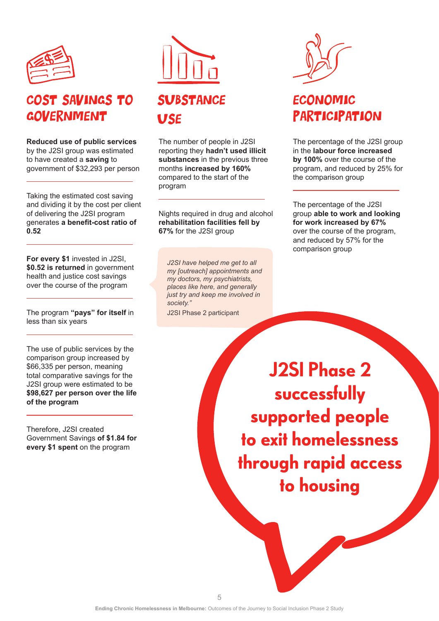

# COST SAVINGS TO **GOVERNMENT**

**Reduced use of public services** by the J2SI group was estimated to have created a **saving** to government of \$32,293 per person

Taking the estimated cost saving and dividing it by the cost per client of delivering the J2SI program generates **a benefit-cost ratio of 0.52**

**For every \$1** invested in J2SI, **\$0.52 is returned** in government health and justice cost savings over the course of the program

The program **"pays" for itself** in less than six years

The use of public services by the comparison group increased by \$66,335 per person, meaning total comparative savings for the J2SI group were estimated to be **\$98,627 per person over the life of the program**

Therefore, J2SI created Government Savings **of \$1.84 for every \$1 spent** on the program



# **SUBSTANCE** USE

The number of people in J2SI reporting they **hadn't used illicit substances** in the previous three months **increased by 160%** compared to the start of the program

Nights required in drug and alcohol **rehabilitation facilities fell by 67%** for the J2SI group

*J2SI have helped me get to all my [outreach] appointments and my doctors, my psychiatrists, places like here, and generally just try and keep me involved in society."* 

J2SI Phase 2 participant

# ECONOMIC **PARTICIPATION**

The percentage of the J2SI group in the **labour force increased by 100%** over the course of the program, and reduced by 25% for the comparison group

The percentage of the J2SI group **able to work and looking for work increased by 67%** over the course of the program, and reduced by 57% for the comparison group

**J2SI Phase 2 successfully supported people to exit homelessness through rapid access to housing**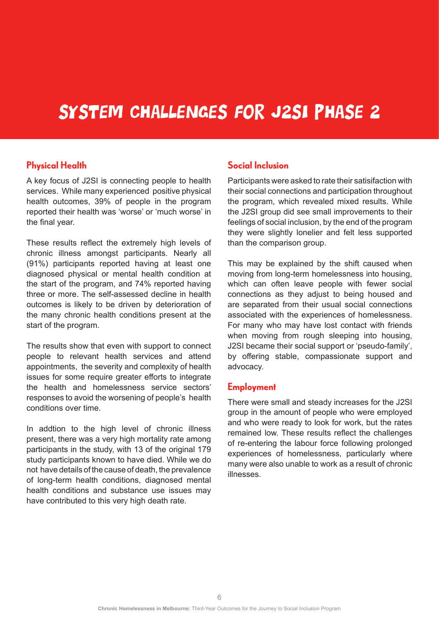# System Challenges for J2SI Phase 2

### **Physical Health**

A key focus of J2SI is connecting people to health services. While many experienced positive physical health outcomes, 39% of people in the program reported their health was 'worse' or 'much worse' in the final year.

These results reflect the extremely high levels of chronic illness amongst participants. Nearly all (91%) participants reported having at least one diagnosed physical or mental health condition at the start of the program, and 74% reported having three or more. The self-assessed decline in health outcomes is likely to be driven by deterioration of the many chronic health conditions present at the start of the program.

The results show that even with support to connect people to relevant health services and attend appointments, the severity and complexity of health issues for some require greater efforts to integrate the health and homelessness service sectors' responses to avoid the worsening of people's health conditions over time.

In addtion to the high level of chronic illness present, there was a very high mortality rate among participants in the study, with 13 of the original 179 study participants known to have died. While we do not have details of the cause of death, the prevalence of long-term health conditions, diagnosed mental health conditions and substance use issues may have contributed to this very high death rate.

### **Social Inclusion**

Participants were asked to rate their satisifaction with their social connections and participation throughout the program, which revealed mixed results. While the J2SI group did see small improvements to their feelings of social inclusion, by the end of the program they were slightly lonelier and felt less supported than the comparison group.

This may be explained by the shift caused when moving from long-term homelessness into housing, which can often leave people with fewer social connections as they adjust to being housed and are separated from their usual social connections associated with the experiences of homelessness. For many who may have lost contact with friends when moving from rough sleeping into housing, J2SI became their social support or 'pseudo-family', by offering stable, compassionate support and advocacy.

#### **Employment**

There were small and steady increases for the J2SI group in the amount of people who were employed and who were ready to look for work, but the rates remained low. These results reflect the challenges of re-entering the labour force following prolonged experiences of homelessness, particularly where many were also unable to work as a result of chronic illnesses.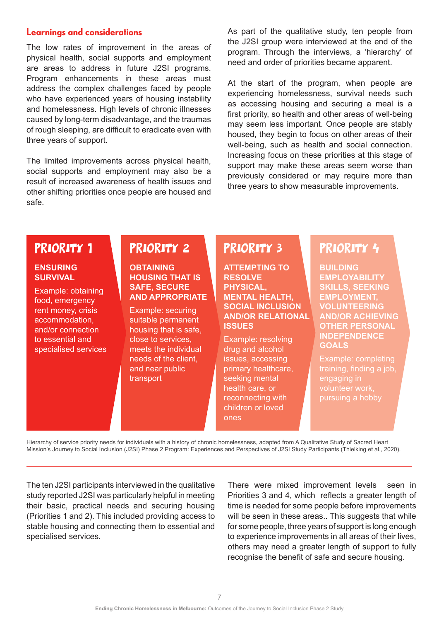#### **Learnings and considerations**

The low rates of improvement in the areas of physical health, social supports and employment are areas to address in future J2SI programs. Program enhancements in these areas must address the complex challenges faced by people who have experienced years of housing instability and homelessness. High levels of chronic illnesses caused by long-term disadvantage, and the traumas of rough sleeping, are difficult to eradicate even with three years of support.

The limited improvements across physical health, social supports and employment may also be a result of increased awareness of health issues and other shifting priorities once people are housed and safe.

As part of the qualitative study, ten people from the J2SI group were interviewed at the end of the program. Through the interviews, a 'hierarchy' of need and order of priorities became apparent.

At the start of the program, when people are experiencing homelessness, survival needs such as accessing housing and securing a meal is a first priority, so health and other areas of well-being may seem less important. Once people are stably housed, they begin to focus on other areas of their well-being, such as health and social connection. Increasing focus on these priorities at this stage of support may make these areas seem worse than previously considered or may require more than three years to show measurable improvements.

### PRIORITY 1

#### **ENSURING SURVIVAL**

Example: obtaining food, emergency rent money, crisis accommodation, and/or connection to essential and specialised services

## PRIORITY 2

#### **OBTAINING HOUSING THAT IS SAFE, SECURE AND APPROPRIATE**

Example: securing suitable permanent housing that is safe, close to services, meets the individual needs of the client, and near public transport

# PRIORITY 3

**ATTEMPTING TO RESOLVE PHYSICAL, MENTAL HEALTH, SOCIAL INCLUSION AND/OR RELATIONAL ISSUES**

Example: resolving drug and alcohol issues, accessing primary healthcare, seeking mental health care, or reconnecting with children or loved ones

# PRIORITY 4

**BUILDING EMPLOYABILITY SKILLS, SEEKING EMPLOYMENT, VOLUNTEERING AND/OR ACHIEVING OTHER PERSONAL INDEPENDENCE GOALS**

Example: completing engaging in

Hierarchy of service priority needs for individuals with a history of chronic homelessness, adapted from A Qualitative Study of Sacred Heart Mission's Journey to Social Inclusion (J2SI) Phase 2 Program: Experiences and Perspectives of J2SI Study Participants (Thielking et al., 2020).

The ten J2SI participants interviewed in the qualitative study reported J2SI was particularly helpful in meeting their basic, practical needs and securing housing (Priorities 1 and 2). This included providing access to stable housing and connecting them to essential and specialised services.

There were mixed improvement levels seen in Priorities 3 and 4, which reflects a greater length of time is needed for some people before improvements will be seen in these areas.. This suggests that while for some people, three years of support is long enough to experience improvements in all areas of their lives, others may need a greater length of support to fully recognise the benefit of safe and secure housing.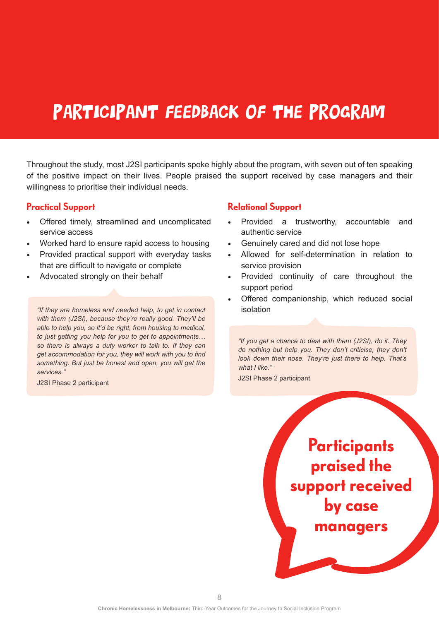# PARTICIPANT FEEDBACK OF THE PROGRAM

Throughout the study, most J2SI participants spoke highly about the program, with seven out of ten speaking of the positive impact on their lives. People praised the support received by case managers and their willingness to prioritise their individual needs.

#### **Practical Support**

- Offered timely, streamlined and uncomplicated service access
- Worked hard to ensure rapid access to housing
- Provided practical support with everyday tasks that are difficult to navigate or complete
- Advocated strongly on their behalf

*"If they are homeless and needed help, to get in contact* isolation *with them (J2SI), because they're really good. They'll be able to help you, so it'd be right, from housing to medical, to just getting you help for you to get to appointments… so there is always a duty worker to talk to. If they can get accommodation for you, they will work with you to find something. But just be honest and open, you will get the services."* 

J2SI Phase 2 participant

### **Relational Support**

- Provided a trustworthy, accountable and authentic service
- Genuinely cared and did not lose hope
- Allowed for self-determination in relation to service provision
- Provided continuity of care throughout the support period
- Offered companionship, which reduced social

*"If you get a chance to deal with them (J2SI), do it. They do nothing but help you. They don't criticise, they don't look down their nose. They're just there to help. That's what I like."*

J2SI Phase 2 participant

**Participants praised the support received by case managers**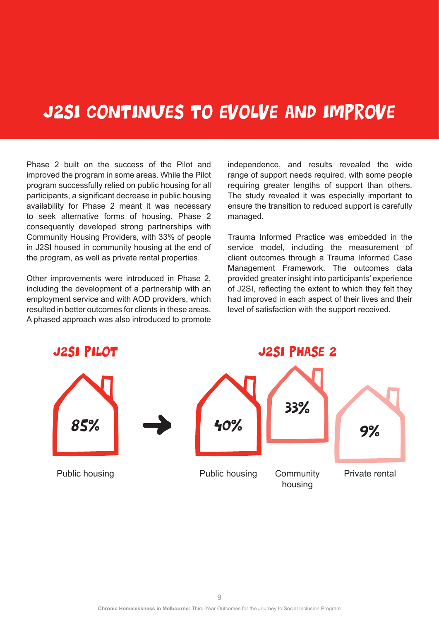# J2SI CONTINUES TO EVOLVE AND IMPROVE

Phase 2 built on the success of the Pilot and improved the program in some areas. While the Pilot program successfully relied on public housing for all participants, a significant decrease in public housing availability for Phase 2 meant it was necessary to seek alternative forms of housing. Phase 2 consequently developed strong partnerships with Community Housing Providers, with 33% of people in J2SI housed in community housing at the end of the program, as well as private rental properties.

Other improvements were introduced in Phase 2, including the development of a partnership with an employment service and with AOD providers, which resulted in better outcomes for clients in these areas. A phased approach was also introduced to promote independence, and results revealed the wide range of support needs required, with some people requiring greater lengths of support than others. The study revealed it was especially important to ensure the transition to reduced support is carefully managed.

Trauma Informed Practice was embedded in the service model, including the measurement of client outcomes through a Trauma Informed Case Management Framework. The outcomes data provided greater insight into participants' experience of J2SI, reflecting the extent to which they felt they had improved in each aspect of their lives and their level of satisfaction with the support received.